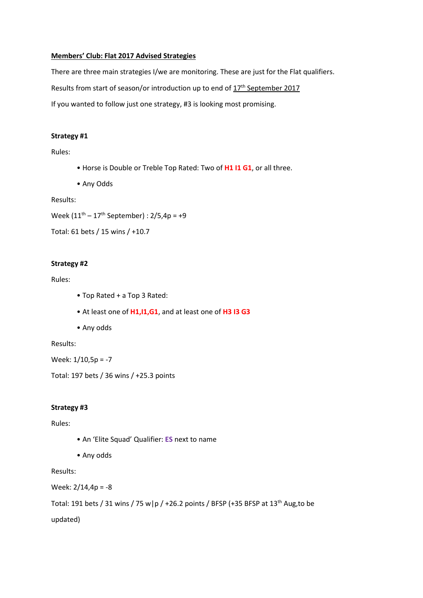#### **Members' Club: Flat 2017 Advised Strategies**

There are three main strategies I/we are monitoring. These are just for the Flat qualifiers.

Results from start of season/or introduction up to end of  $17<sup>th</sup>$  September 2017

If you wanted to follow just one strategy, #3 is looking most promising.

### **Strategy #1**

Rules:

- Horse is Double or Treble Top Rated: Two of **H1 I1 G1**, or all three.
- Any Odds

Results:

Week  $(11^{th} - 17^{th}$  September) :  $2/5,4p = +9$ 

```
Total: 61 bets / 15 wins / +10.7
```
## **Strategy #2**

### Rules:

- Top Rated + a Top 3 Rated:
- At least one of **H1,I1,G1**, and at least one of **H3 I3 G3**
- Any odds

Results:

Week: 1/10,5p = -7

Total: 197 bets / 36 wins / +25.3 points

### **Strategy #3**

Rules:

- An 'Elite Squad' Qualifier: **ES** next to name
- Any odds

Results:

Week: 2/14,4p = -8

Total: 191 bets / 31 wins / 75 w|p / +26.2 points / BFSP (+35 BFSP at  $13<sup>th</sup>$  Aug,to be

updated)